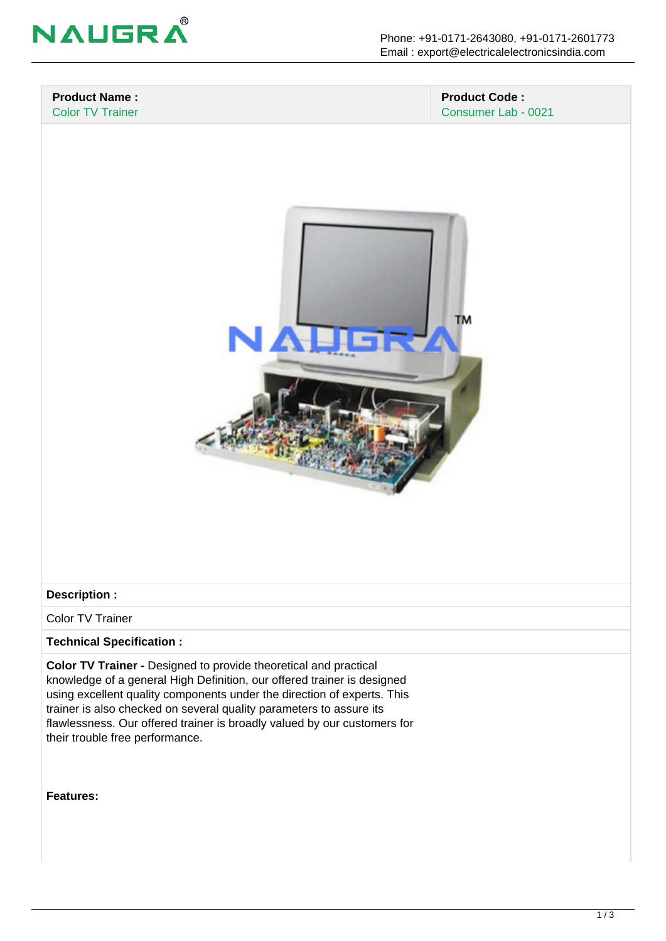

#### **Product Name :** Color TV Trainer

## **Product Code :** Consumer Lab - 0021



## **Description :**

Color TV Trainer

## **Technical Specification :**

**Color TV Trainer -** Designed to provide theoretical and practical knowledge of a general High Definition, our offered trainer is designed using excellent quality components under the direction of experts. This trainer is also checked on several quality parameters to assure its flawlessness. Our offered trainer is broadly valued by our customers for their trouble free performance.

#### **Features:**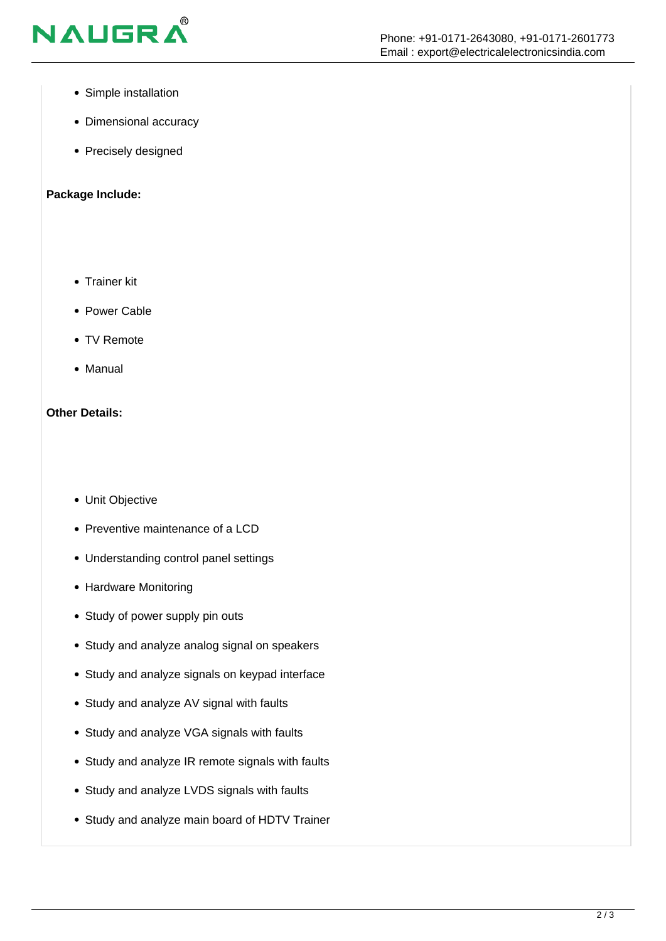

- Simple installation
- Dimensional accuracy
- Precisely designed

## **Package Include:**

- Trainer kit
- Power Cable
- TV Remote
- Manual

## **Other Details:**

- Unit Objective
- Preventive maintenance of a LCD
- Understanding control panel settings
- Hardware Monitoring
- Study of power supply pin outs
- Study and analyze analog signal on speakers
- Study and analyze signals on keypad interface
- Study and analyze AV signal with faults
- Study and analyze VGA signals with faults
- Study and analyze IR remote signals with faults
- Study and analyze LVDS signals with faults
- Study and analyze main board of HDTV Trainer